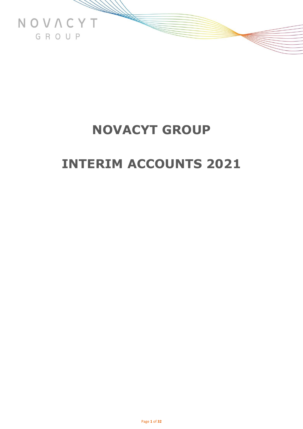

# **INTERIM ACCOUNTS 2021**

Page **1** of **32**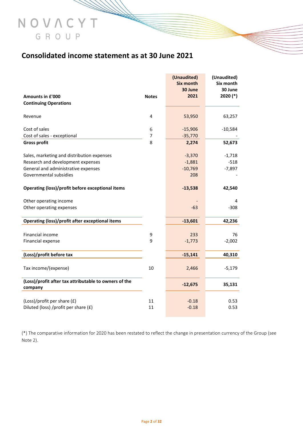# **Consolidated income statement as at 30 June 2021**

NOVACYT

GROUP

|                                                       |                | (Unaudited)<br>Six month | (Unaudited)<br>Six month |
|-------------------------------------------------------|----------------|--------------------------|--------------------------|
|                                                       |                | 30 June                  | 30 June                  |
| Amounts in £'000                                      | <b>Notes</b>   | 2021                     | $2020$ (*)               |
| <b>Continuing Operations</b>                          |                |                          |                          |
|                                                       |                |                          |                          |
| Revenue                                               | $\overline{4}$ | 53,950                   | 63,257                   |
| Cost of sales                                         | 6              | $-15,906$                | $-10,584$                |
| Cost of sales - exceptional                           | $\overline{7}$ | $-35,770$                |                          |
| <b>Gross profit</b>                                   | 8              | 2,274                    | 52,673                   |
|                                                       |                |                          |                          |
| Sales, marketing and distribution expenses            |                | $-3,370$                 | $-1,718$                 |
| Research and development expenses                     |                | $-1,881$                 | $-518$                   |
| General and administrative expenses                   |                | $-10,769$                | $-7,897$                 |
| Governmental subsidies                                |                | 208                      |                          |
|                                                       |                |                          |                          |
| Operating (loss)/profit before exceptional items      |                | $-13,538$                | 42,540                   |
|                                                       |                |                          |                          |
| Other operating income                                |                |                          | 4                        |
| Other operating expenses                              |                | $-63$                    | $-308$                   |
| Operating (loss)/profit after exceptional items       |                | $-13,601$                | 42,236                   |
|                                                       |                |                          |                          |
| Financial income                                      | 9              | 233                      | 76                       |
| Financial expense                                     | 9              | $-1,773$                 | $-2,002$                 |
|                                                       |                |                          |                          |
| (Loss)/profit before tax                              |                | $-15,141$                | 40,310                   |
|                                                       |                |                          |                          |
| Tax income/(expense)                                  | 10             | 2,466                    | $-5,179$                 |
|                                                       |                |                          |                          |
| (Loss)/profit after tax attributable to owners of the |                | $-12,675$                | 35,131                   |
| company                                               |                |                          |                          |
| (Loss)/profit per share (£)                           | 11             | $-0.18$                  | 0.53                     |
| Diluted (loss) /profit per share (£)                  | 11             | $-0.18$                  | 0.53                     |
|                                                       |                |                          |                          |

(\*) The comparative information for 2020 has been restated to reflect the change in presentation currency of the Group (see Note 2).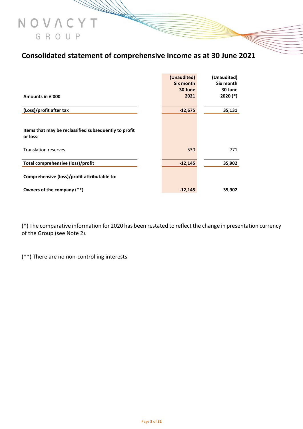# **Consolidated statement of comprehensive income as at 30 June 2021**

|                                                       | (Unaudited) | (Unaudited) |
|-------------------------------------------------------|-------------|-------------|
|                                                       | Six month   | Six month   |
|                                                       | 30 June     | 30 June     |
| Amounts in £'000                                      | 2021        | $2020$ (*)  |
|                                                       |             |             |
| (Loss)/profit after tax                               | $-12,675$   | 35,131      |
|                                                       |             |             |
|                                                       |             |             |
| Items that may be reclassified subsequently to profit |             |             |
| or loss:                                              |             |             |
|                                                       |             |             |
| <b>Translation reserves</b>                           | 530         | 771         |
|                                                       |             |             |
| Total comprehensive (loss)/profit                     | $-12,145$   | 35,902      |
|                                                       |             |             |
| Comprehensive (loss)/profit attributable to:          |             |             |
|                                                       |             |             |
| Owners of the company (**)                            | $-12,145$   | 35,902      |

(\*) The comparative information for 2020 has been restated to reflect the change in presentation currency of the Group (see Note 2).

(\*\*) There are no non-controlling interests.

NOVAC

GROUP

YT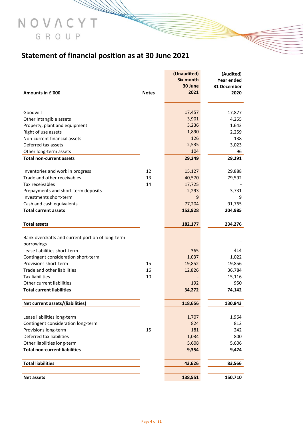# **Statement of financial position as at 30 June 2021**

NOVACYT

GROUP

|                                                  |              | (Unaudited)<br>Six month | (Audited)<br>Year ended |
|--------------------------------------------------|--------------|--------------------------|-------------------------|
|                                                  |              | 30 June                  | 31 December             |
| Amounts in £'000                                 | <b>Notes</b> | 2021                     | 2020                    |
|                                                  |              |                          |                         |
|                                                  |              |                          |                         |
| Goodwill                                         |              | 17,457                   | 17,877                  |
| Other intangible assets                          |              | 3,901                    | 4,255                   |
| Property, plant and equipment                    |              | 3,236                    | 1,643                   |
| Right of use assets                              |              | 1,890                    | 2,259                   |
| Non-current financial assets                     |              | 126                      | 138                     |
| Deferred tax assets                              |              | 2,535                    | 3,023                   |
| Other long-term assets                           |              | 104                      | 96                      |
| <b>Total non-current assets</b>                  |              | 29,249                   | 29,291                  |
| Inventories and work in progress                 | 12           | 15,127                   | 29,888                  |
| Trade and other receivables                      | 13           | 40,570                   | 79,592                  |
| Tax receivables                                  | 14           | 17,725                   |                         |
| Prepayments and short-term deposits              |              | 2,293                    | 3,731                   |
| Investments short-term                           |              | 9                        | 9                       |
| Cash and cash equivalents                        |              | 77,204                   | 91,765                  |
| <b>Total current assets</b>                      |              | 152,928                  | 204,985                 |
|                                                  |              |                          |                         |
| <b>Total assets</b>                              |              | 182,177                  | 234,276                 |
|                                                  |              |                          |                         |
| Bank overdrafts and current portion of long-term |              |                          |                         |
| borrowings                                       |              |                          |                         |
| Lease liabilities short-term                     |              | 365                      | 414                     |
| Contingent consideration short-term              |              | 1,037                    | 1,022                   |
| Provisions short-term                            | 15           | 19,852                   | 19,856                  |
| Trade and other liabilities                      | 16           | 12,826                   | 36,784                  |
| <b>Tax liabilities</b>                           | 10           |                          | 15,116                  |
| Other current liabilities                        |              | 192                      | 950                     |
| <b>Total current liabilities</b>                 |              | 34,272                   | 74,142                  |
| Net current assets/(liabilities)                 |              | 118,656                  | 130,843                 |
|                                                  |              |                          |                         |
| Lease liabilities long-term                      |              | 1,707                    | 1,964                   |
| Contingent consideration long-term               |              | 824                      | 812                     |
| Provisions long-term                             | 15           | 181                      | 242                     |
| Deferred tax liabilities                         |              | 1,034                    | 800                     |
| Other liabilities long-term                      |              | 5,608                    | 5,606                   |
| <b>Total non-current liabilities</b>             |              | 9,354                    | 9,424                   |
| <b>Total liabilities</b>                         |              |                          |                         |
|                                                  |              | 43,626                   | 83,566                  |
| <b>Net assets</b>                                |              | 138,551                  | 150,710                 |
|                                                  |              |                          |                         |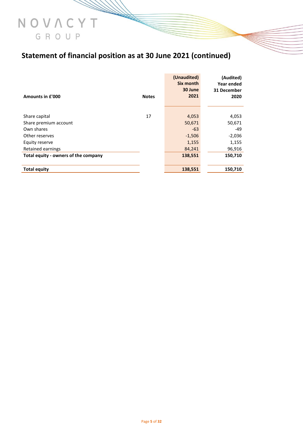# **Statement of financial position as at 30 June 2021 (continued)**

NOVACYT

GROUP

|                                      |              | (Unaudited)<br>Six month | (Audited)<br>Year ended |
|--------------------------------------|--------------|--------------------------|-------------------------|
| Amounts in £'000                     | <b>Notes</b> | 30 June<br>2021          | 31 December<br>2020     |
| Share capital                        | 17           | 4,053                    | 4,053                   |
| Share premium account                |              | 50,671                   | 50,671                  |
| Own shares                           |              | -63                      | -49                     |
| Other reserves                       |              | $-1,506$                 | $-2,036$                |
| Equity reserve                       |              | 1,155                    | 1,155                   |
| Retained earnings                    |              | 84,241                   | 96,916                  |
| Total equity - owners of the company |              | 138,551                  | 150,710                 |
| <b>Total equity</b>                  |              | 138,551                  | 150,710                 |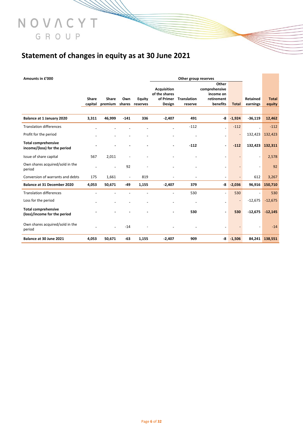# **Statement of changes in equity as at 30 June 2021**

NOVACYT

GROUP

| Amounts in £'000                                           |              |              |                          |               | Other group reserves                |                    |                                     |                |                          |              |
|------------------------------------------------------------|--------------|--------------|--------------------------|---------------|-------------------------------------|--------------------|-------------------------------------|----------------|--------------------------|--------------|
|                                                            |              |              |                          |               | <b>Acquisition</b><br>of the shares |                    | Other<br>comprehensive<br>income on |                |                          |              |
|                                                            | <b>Share</b> | <b>Share</b> | Own                      | <b>Equity</b> | of Primer                           | <b>Translation</b> | retirement                          |                | Retained                 | <b>Total</b> |
|                                                            | capital      | premium      | shares                   | reserves      | Design                              | reserve            | benefits                            | <b>Total</b>   | earnings                 | equity       |
|                                                            |              |              |                          |               |                                     |                    |                                     |                |                          |              |
| Balance at 1 January 2020                                  | 3,311        | 46,999       | $-141$                   | 336           | $-2,407$                            | 491                | -8                                  | $-1,924$       | $-36,119$                | 12,462       |
| <b>Translation differences</b>                             |              |              |                          |               |                                     | $-112$             |                                     | $-112$         |                          | $-112$       |
| Profit for the period                                      |              |              |                          |               |                                     |                    |                                     | $\overline{a}$ | 132,423                  | 132,423      |
| <b>Total comprehensive</b><br>income/(loss) for the period |              |              |                          |               |                                     | $-112$             |                                     | $-112$         | 132,423                  | 132,311      |
| Issue of share capital                                     | 567          | 2,011        |                          |               |                                     |                    |                                     |                |                          | 2,578        |
| Own shares acquired/sold in the<br>period                  |              |              | 92                       |               |                                     |                    |                                     |                |                          | 92           |
| Conversion of warrants and debts                           | 175          | 1,661        | $\overline{\phantom{a}}$ | 819           | $\overline{a}$                      | ÷.                 | ٠                                   |                | 612                      | 3,267        |
| <b>Balance at 31 December 2020</b>                         | 4,053        | 50,671       | $-49$                    | 1,155         | $-2,407$                            | 379                | -8                                  | $-2,036$       | 96,916                   | 150,710      |
| <b>Translation differences</b>                             |              |              |                          |               | ٠                                   | 530                | $\blacksquare$                      | 530            | $\overline{\phantom{a}}$ | 530          |
| Loss for the period                                        |              |              |                          |               |                                     |                    | $\overline{\phantom{a}}$            |                | $-12,675$                | $-12,675$    |
| <b>Total comprehensive</b><br>(loss)/income for the period |              |              |                          |               |                                     | 530                |                                     | 530            | $-12,675$                | $-12,145$    |
| Own shares acquired/sold in the<br>period                  |              |              | $-14$                    |               |                                     |                    |                                     |                |                          | $-14$        |
| Balance at 30 June 2021                                    | 4,053        | 50,671       | $-63$                    | 1,155         | $-2,407$                            | 909                | -8                                  | $-1,506$       | 84,241                   | 138,551      |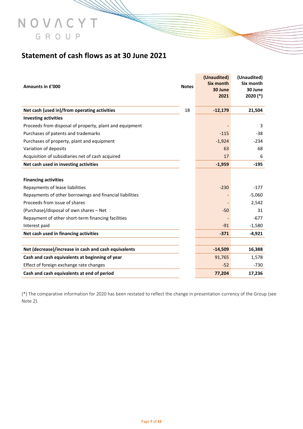# **Statement of cash flows as at 30 June 2021**

| Amounts in £'000                                         | <b>Notes</b> | (Unaudited)<br>Six month<br>30 June<br>2021 | (Unaudited)<br>Six month<br>30 June<br>$2020$ (*) |
|----------------------------------------------------------|--------------|---------------------------------------------|---------------------------------------------------|
| Net cash (used in)/from operating activities             | 18           | $-12,179$                                   | 21,504                                            |
| <b>Investing activities</b>                              |              |                                             |                                                   |
| Proceeds from disposal of property, plant and equipment  |              |                                             | 3                                                 |
| Purchases of patents and trademarks                      |              | $-115$                                      | $-38$                                             |
| Purchases of property, plant and equipment               |              | $-1,924$                                    | $-234$                                            |
| Variation of deposits                                    |              | 63                                          | 68                                                |
| Acquisition of subsidiaries net of cash acquired         |              | 17                                          | 6                                                 |
| Net cash used in investing activities                    |              | $-1,959$                                    | $-195$                                            |
| <b>Financing activities</b>                              |              |                                             |                                                   |
| Repayments of lease liabilities                          |              | $-230$                                      | $-177$                                            |
| Repayments of other borrowings and financial liabilities |              |                                             | $-5,060$                                          |
| Proceeds from issue of shares                            |              |                                             | 2,542                                             |
| (Purchase)/disposal of own shares - Net                  |              | $-50$                                       | 31                                                |
| Repayment of other short-term financing facilities       |              |                                             | $-677$                                            |
| Interest paid                                            |              | $-91$                                       | $-1,580$                                          |
| Net cash used in financing activities                    |              | $-371$                                      | $-4,921$                                          |
|                                                          |              |                                             |                                                   |
| Net (decrease)/increase in cash and cash equivalents     |              | $-14,509$                                   | 16,388                                            |
| Cash and cash equivalents at beginning of year           |              | 91,765                                      | 1,578                                             |
| Effect of foreign exchange rate changes                  |              | $-52$                                       | $-730$                                            |
| Cash and cash equivalents at end of period               |              | 77,204                                      | 17,236                                            |

(\*) The comparative information for 2020 has been restated to reflect the change in presentation currency of the Group (see Note 2).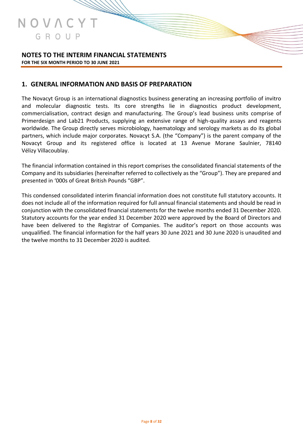

#### **NOTES TO THE INTERIM FINANCIAL STATEMENTS FOR THE SIX MONTH PERIOD TO 30 JUNE 2021**

#### **1. GENERAL INFORMATION AND BASIS OF PREPARATION**

The Novacyt Group is an international diagnostics business generating an increasing portfolio of invitro and molecular diagnostic tests. Its core strengths lie in diagnostics product development, commercialisation, contract design and manufacturing. The Group's lead business units comprise of Primerdesign and Lab21 Products, supplying an extensive range of high-quality assays and reagents worldwide. The Group directly serves microbiology, haematology and serology markets as do its global partners, which include major corporates. Novacyt S.A. (the "Company") is the parent company of the Novacyt Group and its registered office is located at 13 Avenue Morane Saulnier, 78140 Vélizy Villacoublay.

The financial information contained in this report comprises the consolidated financial statements of the Company and its subsidiaries (hereinafter referred to collectively as the "Group"). They are prepared and presented in '000s of Great British Pounds "GBP".

This condensed consolidated interim financial information does not constitute full statutory accounts. It does not include all of the information required for full annual financial statements and should be read in conjunction with the consolidated financial statements for the twelve months ended 31 December 2020. Statutory accounts for the year ended 31 December 2020 were approved by the Board of Directors and have been delivered to the Registrar of Companies. The auditor's report on those accounts was unqualified. The financial information for the half years 30 June 2021 and 30 June 2020 is unaudited and the twelve months to 31 December 2020 is audited.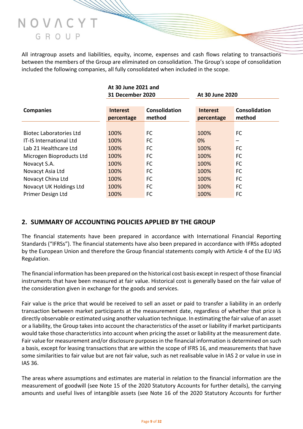All intragroup assets and liabilities, equity, income, expenses and cash flows relating to transactions between the members of the Group are eliminated on consolidation. The Group's scope of consolidation included the following companies, all fully consolidated when included in the scope.

|                                | At 30 June 2021 and |                      |                 |                      |  |  |  |
|--------------------------------|---------------------|----------------------|-----------------|----------------------|--|--|--|
|                                | 31 December 2020    |                      | At 30 June 2020 |                      |  |  |  |
|                                |                     |                      |                 |                      |  |  |  |
| <b>Companies</b>               | <b>Interest</b>     | <b>Consolidation</b> | <b>Interest</b> | <b>Consolidation</b> |  |  |  |
|                                | percentage          | method               | percentage      | method               |  |  |  |
|                                |                     |                      |                 |                      |  |  |  |
| <b>Biotec Laboratories Ltd</b> | 100%                | FC                   | 100%            | FC                   |  |  |  |
| <b>IT-IS International Ltd</b> | 100%                | FC                   | $0\%$           |                      |  |  |  |
| Lab 21 Healthcare Ltd          | 100%                | <b>FC</b>            | 100%            | FC                   |  |  |  |
| Microgen Bioproducts Ltd       | 100%                | <b>FC</b>            | 100%            | FC.                  |  |  |  |
| Novacyt S.A.                   | 100%                | <b>FC</b>            | 100%            | FC                   |  |  |  |
| Novacyt Asia Ltd               | 100%                | FC                   | 100%            | FC.                  |  |  |  |
| Novacyt China Ltd              | 100%                | FC                   | 100%            | FC                   |  |  |  |
| Novacyt UK Holdings Ltd        | 100%                | FC                   | 100%            | FC                   |  |  |  |
| Primer Design Ltd              | 100%                | <b>FC</b>            | 100%            | FC                   |  |  |  |

### **2. SUMMARY OF ACCOUNTING POLICIES APPLIED BY THE GROUP**

NOVACYT

GROUP

The financial statements have been prepared in accordance with International Financial Reporting Standards ("IFRSs"). The financial statements have also been prepared in accordance with IFRSs adopted by the European Union and therefore the Group financial statements comply with Article 4 of the EU IAS Regulation.

The financial information has been prepared on the historical cost basis except in respect of those financial instruments that have been measured at fair value. Historical cost is generally based on the fair value of the consideration given in exchange for the goods and services.

Fair value is the price that would be received to sell an asset or paid to transfer a liability in an orderly transaction between market participants at the measurement date, regardless of whether that price is directly observable or estimated using another valuation technique. In estimating the fair value of an asset or a liability, the Group takes into account the characteristics of the asset or liability if market participants would take those characteristics into account when pricing the asset or liability at the measurement date. Fair value for measurement and/or disclosure purposes in the financial information is determined on such a basis, except for leasing transactions that are within the scope of IFRS 16, and measurements that have some similarities to fair value but are not fair value, such as net realisable value in IAS 2 or value in use in IAS 36.

The areas where assumptions and estimates are material in relation to the financial information are the measurement of goodwill (see Note 15 of the 2020 Statutory Accounts for further details), the carrying amounts and useful lives of intangible assets (see Note 16 of the 2020 Statutory Accounts for further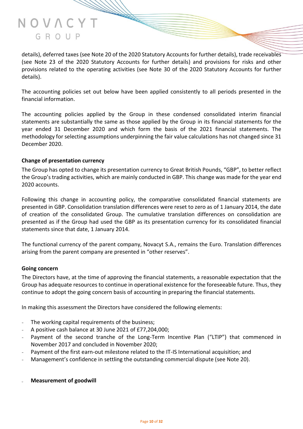details), deferred taxes (see Note 20 of the 2020 Statutory Accounts for further details), trade receivables (see Note 23 of the 2020 Statutory Accounts for further details) and provisions for risks and other provisions related to the operating activities (see Note 30 of the 2020 Statutory Accounts for further details).

The accounting policies set out below have been applied consistently to all periods presented in the financial information.

The accounting policies applied by the Group in these condensed consolidated interim financial statements are substantially the same as those applied by the Group in its financial statements for the year ended 31 December 2020 and which form the basis of the 2021 financial statements. The methodology for selecting assumptions underpinning the fair value calculations has not changed since 31 December 2020.

#### **Change of presentation currency**

NOVACYT

GROUP

The Group has opted to change its presentation currency to Great British Pounds, "GBP", to better reflect the Group's trading activities, which are mainly conducted in GBP. This change was made for the year end 2020 accounts.

Following this change in accounting policy, the comparative consolidated financial statements are presented in GBP. Consolidation translation differences were reset to zero as of 1 January 2014, the date of creation of the consolidated Group. The cumulative translation differences on consolidation are presented as if the Group had used the GBP as its presentation currency for its consolidated financial statements since that date, 1 January 2014.

The functional currency of the parent company, Novacyt S.A., remains the Euro. Translation differences arising from the parent company are presented in "other reserves".

#### **Going concern**

The Directors have, at the time of approving the financial statements, a reasonable expectation that the Group has adequate resources to continue in operational existence for the foreseeable future. Thus, they continue to adopt the going concern basis of accounting in preparing the financial statements.

In making this assessment the Directors have considered the following elements:

- The working capital requirements of the business;
- A positive cash balance at 30 June 2021 of £77,204,000;
- Payment of the second tranche of the Long-Term Incentive Plan ("LTIP") that commenced in November 2017 and concluded in November 2020;
- Payment of the first earn-out milestone related to the IT-IS International acquisition; and
- Management's confidence in settling the outstanding commercial dispute (see Note 20).
- **Measurement of goodwill**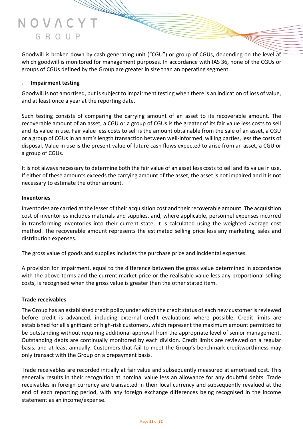Goodwill is broken down by cash-generating unit ("CGU") or group of CGUs, depending on the level at which goodwill is monitored for management purposes. In accordance with IAS 36, none of the CGUs or groups of CGUs defined by the Group are greater in size than an operating segment.

#### <sup>o</sup> **Impairment testing**

Goodwill is not amortised, but is subject to impairment testing when there is an indication of loss of value, and at least once a year at the reporting date.

Such testing consists of comparing the carrying amount of an asset to its recoverable amount. The recoverable amount of an asset, a CGU or a group of CGUs is the greater of its fair value less costs to sell and its value in use. Fair value less costs to sell is the amount obtainable from the sale of an asset, a CGU or a group of CGUs in an arm's length transaction between well-informed, willing parties, less the costs of disposal. Value in use is the present value of future cash flows expected to arise from an asset, a CGU or a group of CGUs.

It is not always necessary to determine both the fair value of an asset less costs to sell and its value in use. If either of these amounts exceeds the carrying amount of the asset, the asset is not impaired and it is not necessary to estimate the other amount.

#### **Inventories**

Inventories are carried at the lesser of their acquisition cost and their recoverable amount. The acquisition cost of inventories includes materials and supplies, and, where applicable, personnel expenses incurred in transforming inventories into their current state. It is calculated using the weighted average cost method. The recoverable amount represents the estimated selling price less any marketing, sales and distribution expenses.

The gross value of goods and supplies includes the purchase price and incidental expenses.

A provision for impairment, equal to the difference between the gross value determined in accordance with the above terms and the current market price or the realisable value less any proportional selling costs, is recognised when the gross value is greater than the other stated item.

#### **Trade receivables**

The Group has an established credit policy under which the credit status of each new customer is reviewed before credit is advanced, including external credit evaluations where possible. Credit limits are established for all significant or high-risk customers, which represent the maximum amount permitted to be outstanding without requiring additional approval from the appropriate level of senior management. Outstanding debts are continually monitored by each division. Credit limits are reviewed on a regular basis, and at least annually. Customers that fail to meet the Group's benchmark creditworthiness may only transact with the Group on a prepayment basis.

Trade receivables are recorded initially at fair value and subsequently measured at amortised cost. This generally results in their recognition at nominal value less an allowance for any doubtful debts. Trade receivables in foreign currency are transacted in their local currency and subsequently revalued at the end of each reporting period, with any foreign exchange differences being recognised in the income statement as an income/expense.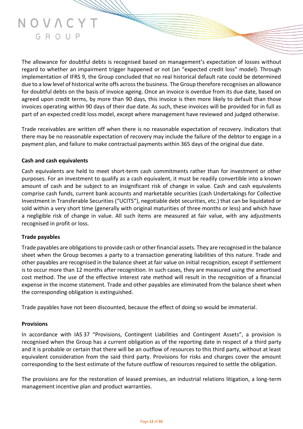

The allowance for doubtful debts is recognised based on management's expectation of losses without regard to whether an impairment trigger happened or not (an "expected credit loss" model). Through implementation of IFRS 9, the Group concluded that no real historical default rate could be determined due to a low level of historical write offs across the business. The Group therefore recognises an allowance for doubtful debts on the basis of invoice ageing. Once an invoice is overdue from its due date, based on agreed upon credit terms, by more than 90 days, this invoice is then more likely to default than those invoices operating within 90 days of their due date. As such, these invoices will be provided for in full as part of an expected credit loss model, except where management have reviewed and judged otherwise.

Trade receivables are written off when there is no reasonable expectation of recovery. Indicators that there may be no reasonable expectation of recovery may include the failure of the debtor to engage in a payment plan, and failure to make contractual payments within 365 days of the original due date.

#### **Cash and cash equivalents**

Cash equivalents are held to meet short-term cash commitments rather than for investment or other purposes. For an investment to qualify as a cash equivalent, it must be readily convertible into a known amount of cash and be subject to an insignificant risk of change in value. Cash and cash equivalents comprise cash funds, current bank accounts and marketable securities (cash Undertakings for Collective Investment in Transferable Securities ("UCITS"), negotiable debt securities, etc.) that can be liquidated or sold within a very short time (generally with original maturities of three months or less) and which have a negligible risk of change in value. All such items are measured at fair value, with any adjustments recognised in profit or loss.

#### **Trade payables**

Trade payables are obligations to provide cash or other financial assets. They are recognised in the balance sheet when the Group becomes a party to a transaction generating liabilities of this nature. Trade and other payables are recognised in the balance sheet at fair value on initial recognition, except if settlement is to occur more than 12 months after recognition. In such cases, they are measured using the amortised cost method. The use of the effective interest rate method will result in the recognition of a financial expense in the income statement. Trade and other payables are eliminated from the balance sheet when the corresponding obligation is extinguished.

Trade payables have not been discounted, because the effect of doing so would be immaterial.

#### **Provisions**

In accordance with IAS 37 "Provisions, Contingent Liabilities and Contingent Assets", a provision is recognised when the Group has a current obligation as of the reporting date in respect of a third party and it is probable or certain that there will be an outflow of resources to this third party, without at least equivalent consideration from the said third party. Provisions for risks and charges cover the amount corresponding to the best estimate of the future outflow of resources required to settle the obligation.

The provisions are for the restoration of leased premises, an industrial relations litigation, a long-term management incentive plan and product warranties.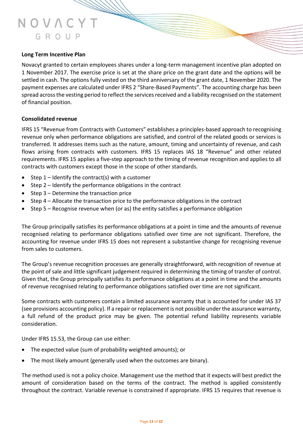#### **Long Term Incentive Plan**

Novacyt granted to certain employees shares under a long-term management incentive plan adopted on 1 November 2017. The exercise price is set at the share price on the grant date and the options will be settled in cash. The options fully vested on the third anniversary of the grant date, 1 November 2020. The payment expenses are calculated under IFRS 2 "Share-Based Payments". The accounting charge has been spread across the vesting period to reflect the services received and a liability recognised on the statement of financial position.

#### **Consolidated revenue**

IFRS 15 "Revenue from Contracts with Customers" establishes a principles-based approach to recognising revenue only when performance obligations are satisfied, and control of the related goods or services is transferred. It addresses items such as the nature, amount, timing and uncertainty of revenue, and cash flows arising from contracts with customers. IFRS 15 replaces IAS 18 "Revenue" and other related requirements. IFRS 15 applies a five-step approach to the timing of revenue recognition and applies to all contracts with customers except those in the scope of other standards.

- Step  $1$  Identify the contract(s) with a customer
- Step 2 Identify the performance obligations in the contract
- Step 3 Determine the transaction price
- Step 4 Allocate the transaction price to the performance obligations in the contract
- Step 5 Recognise revenue when (or as) the entity satisfies a performance obligation

The Group principally satisfies its performance obligations at a point in time and the amounts of revenue recognised relating to performance obligations satisfied over time are not significant. Therefore, the accounting for revenue under IFRS 15 does not represent a substantive change for recognising revenue from sales to customers.

The Group's revenue recognition processes are generally straightforward, with recognition of revenue at the point of sale and little significant judgement required in determining the timing of transfer of control. Given that, the Group principally satisfies its performance obligations at a point in time and the amounts of revenue recognised relating to performance obligations satisfied over time are not significant.

Some contracts with customers contain a limited assurance warranty that is accounted for under IAS 37 (see provisions accounting policy). If a repair or replacement is not possible under the assurance warranty, a full refund of the product price may be given. The potential refund liability represents variable consideration.

Under IFRS 15.53, the Group can use either:

- The expected value (sum of probability weighted amounts); or
- The most likely amount (generally used when the outcomes are binary).

The method used is not a policy choice. Management use the method that it expects will best predict the amount of consideration based on the terms of the contract. The method is applied consistently throughout the contract. Variable revenue is constrained if appropriate. IFRS 15 requires that revenue is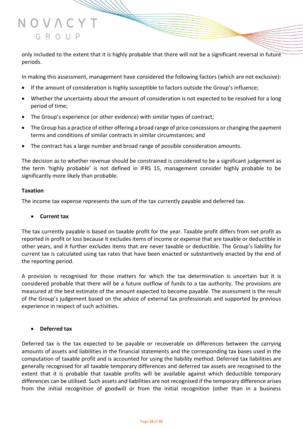only included to the extent that it is highly probable that there will not be a significant reversal in future periods.

In making this assessment, management have considered the following factors (which are not exclusive):

- If the amount of consideration is highly susceptible to factors outside the Group's influence;
- Whether the uncertainty about the amount of consideration is not expected to be resolved for a long period of time;
- The Group's experience (or other evidence) with similar types of contract;
- The Group has a practice of either offering a broad range of price concessions or changing the payment terms and conditions of similar contracts in similar circumstances; and
- The contract has a large number and broad range of possible consideration amounts.

The decision as to whether revenue should be constrained is considered to be a significant judgement as the term 'highly probable' is not defined in IFRS 15, management consider highly probable to be significantly more likely than probable.

#### **Taxation**

The income tax expense represents the sum of the tax currently payable and deferred tax.

• **Current tax**

The tax currently payable is based on taxable profit for the year. Taxable profit differs from net profit as reported in profit or loss because it excludes items of income or expense that are taxable or deductible in other years, and it further excludes items that are never taxable or deductible. The Group's liability for current tax is calculated using tax rates that have been enacted or substantively enacted by the end of the reporting period.

A provision is recognised for those matters for which the tax determination is uncertain but it is considered probable that there will be a future outflow of funds to a tax authority. The provisions are measured at the best estimate of the amount expected to become payable. The assessment is the result of the Group's judgement based on the advice of external tax professionals and supported by previous experience in respect of such activities.

#### • **Deferred tax**

Deferred tax is the tax expected to be payable or recoverable on differences between the carrying amounts of assets and liabilities in the financial statements and the corresponding tax bases used in the computation of taxable profit and is accounted for using the liability method. Deferred tax liabilities are generally recognised for all taxable temporary differences and deferred tax assets are recognised to the extent that it is probable that taxable profits will be available against which deductible temporary differences can be utilised. Such assets and liabilities are not recognised if the temporary difference arises from the initial recognition of goodwill or from the initial recognition (other than in a business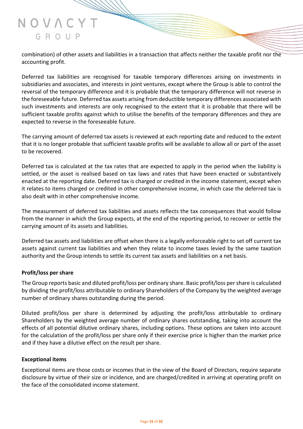combination) of other assets and liabilities in a transaction that affects neither the taxable profit nor the accounting profit.

Deferred tax liabilities are recognised for taxable temporary differences arising on investments in subsidiaries and associates, and interests in joint ventures, except where the Group is able to control the reversal of the temporary difference and it is probable that the temporary difference will not reverse in the foreseeable future. Deferred tax assets arising from deductible temporary differences associated with such investments and interests are only recognised to the extent that it is probable that there will be sufficient taxable profits against which to utilise the benefits of the temporary differences and they are expected to reverse in the foreseeable future.

The carrying amount of deferred tax assets is reviewed at each reporting date and reduced to the extent that it is no longer probable that sufficient taxable profits will be available to allow all or part of the asset to be recovered.

Deferred tax is calculated at the tax rates that are expected to apply in the period when the liability is settled, or the asset is realised based on tax laws and rates that have been enacted or substantively enacted at the reporting date. Deferred tax is charged or credited in the income statement, except when it relates to items charged or credited in other comprehensive income, in which case the deferred tax is also dealt with in other comprehensive income.

The measurement of deferred tax liabilities and assets reflects the tax consequences that would follow from the manner in which the Group expects, at the end of the reporting period, to recover or settle the carrying amount of its assets and liabilities.

Deferred tax assets and liabilities are offset when there is a legally enforceable right to set off current tax assets against current tax liabilities and when they relate to income taxes levied by the same taxation authority and the Group intends to settle its current tax assets and liabilities on a net basis.

#### **Profit/loss per share**

The Group reports basic and diluted profit/loss per ordinary share. Basic profit/loss per share is calculated by dividing the profit/loss attributable to ordinary Shareholders of the Company by the weighted average number of ordinary shares outstanding during the period.

Diluted profit/loss per share is determined by adjusting the profit/loss attributable to ordinary Shareholders by the weighted average number of ordinary shares outstanding, taking into account the effects of all potential dilutive ordinary shares, including options. These options are taken into account for the calculation of the profit/loss per share only if their exercise price is higher than the market price and if they have a dilutive effect on the result per share.

#### **Exceptional items**

Exceptional items are those costs or incomes that in the view of the Board of Directors, require separate disclosure by virtue of their size or incidence, and are charged/credited in arriving at operating profit on the face of the consolidated income statement.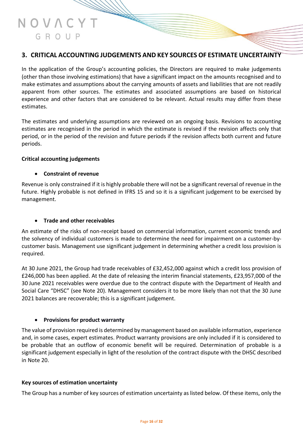## **3. CRITICAL ACCOUNTING JUDGEMENTS AND KEY SOURCES OF ESTIMATE UNCERTAINTY**

In the application of the Group's accounting policies, the Directors are required to make judgements (other than those involving estimations) that have a significant impact on the amounts recognised and to make estimates and assumptions about the carrying amounts of assets and liabilities that are not readily apparent from other sources. The estimates and associated assumptions are based on historical experience and other factors that are considered to be relevant. Actual results may differ from these estimates.

The estimates and underlying assumptions are reviewed on an ongoing basis. Revisions to accounting estimates are recognised in the period in which the estimate is revised if the revision affects only that period, or in the period of the revision and future periods if the revision affects both current and future periods.

#### **Critical accounting judgements**

NOVACYT

GROUP

#### • **Constraint of revenue**

Revenue is only constrained if it is highly probable there will not be a significant reversal of revenue in the future. Highly probable is not defined in IFRS 15 and so it is a significant judgement to be exercised by management.

#### • **Trade and other receivables**

An estimate of the risks of non-receipt based on commercial information, current economic trends and the solvency of individual customers is made to determine the need for impairment on a customer-bycustomer basis. Management use significant judgement in determining whether a credit loss provision is required.

At 30 June 2021, the Group had trade receivables of £32,452,000 against which a credit loss provision of £246,000 has been applied. At the date of releasing the interim financial statements, £23,957,000 of the 30 June 2021 receivables were overdue due to the contract dispute with the Department of Health and Social Care "DHSC" (see Note 20). Management considers it to be more likely than not that the 30 June 2021 balances are recoverable; this is a significant judgement.

#### • **Provisions for product warranty**

The value of provision required is determined by management based on available information, experience and, in some cases, expert estimates. Product warranty provisions are only included if it is considered to be probable that an outflow of economic benefit will be required. Determination of probable is a significant judgement especially in light of the resolution of the contract dispute with the DHSC described in Note 20.

#### **Key sources of estimation uncertainty**

The Group has a number of key sources of estimation uncertainty as listed below. Of these items, only the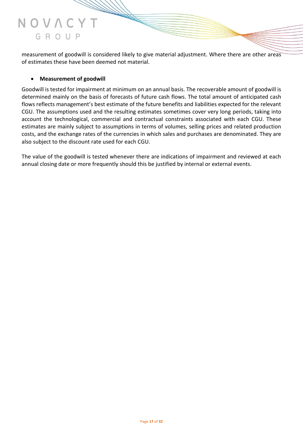measurement of goodwill is considered likely to give material adjustment. Where there are other areas of estimates these have been deemed not material.

#### • **Measurement of goodwill**

Goodwill is tested for impairment at minimum on an annual basis. The recoverable amount of goodwill is determined mainly on the basis of forecasts of future cash flows. The total amount of anticipated cash flows reflects management's best estimate of the future benefits and liabilities expected for the relevant CGU. The assumptions used and the resulting estimates sometimes cover very long periods, taking into account the technological, commercial and contractual constraints associated with each CGU. These estimates are mainly subject to assumptions in terms of volumes, selling prices and related production costs, and the exchange rates of the currencies in which sales and purchases are denominated. They are also subject to the discount rate used for each CGU.

The value of the goodwill is tested whenever there are indications of impairment and reviewed at each annual closing date or more frequently should this be justified by internal or external events.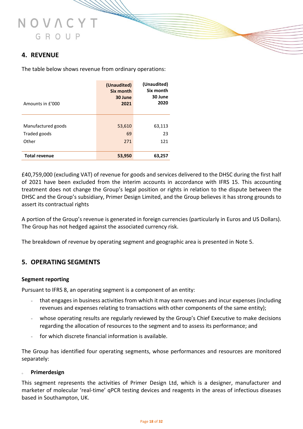# JOVAC GROUP

### **4. REVENUE**

The table below shows revenue from ordinary operations:

| Amounts in £'000     | (Unaudited)<br>Six month<br>30 June<br>2021 | (Unaudited)<br>Six month<br>30 June<br>2020 |
|----------------------|---------------------------------------------|---------------------------------------------|
|                      |                                             |                                             |
| Manufactured goods   | 53,610                                      | 63,113                                      |
| Traded goods         | 69                                          | 23                                          |
| Other                | 271                                         | 121                                         |
|                      |                                             |                                             |
| <b>Total revenue</b> | 53,950                                      | 63,257                                      |

£40,759,000 (excluding VAT) of revenue for goods and services delivered to the DHSC during the first half of 2021 have been excluded from the interim accounts in accordance with IFRS 15. This accounting treatment does not change the Group's legal position or rights in relation to the dispute between the DHSC and the Group's subsidiary, Primer Design Limited, and the Group believes it has strong grounds to assert its contractual rights

A portion of the Group's revenue is generated in foreign currencies (particularly in Euros and US Dollars). The Group has not hedged against the associated currency risk.

The breakdown of revenue by operating segment and geographic area is presented in Note 5.

### **5. OPERATING SEGMENTS**

#### **Segment reporting**

Pursuant to IFRS 8, an operating segment is a component of an entity:

- that engages in business activities from which it may earn revenues and incur expenses (including revenues and expenses relating to transactions with other components of the same entity);
- whose operating results are regularly reviewed by the Group's Chief Executive to make decisions regarding the allocation of resources to the segment and to assess its performance; and
- for which discrete financial information is available.

The Group has identified four operating segments, whose performances and resources are monitored separately:

#### <sup>o</sup> **Primerdesign**

This segment represents the activities of Primer Design Ltd, which is a designer, manufacturer and marketer of molecular 'real-time' qPCR testing devices and reagents in the areas of infectious diseases based in Southampton, UK.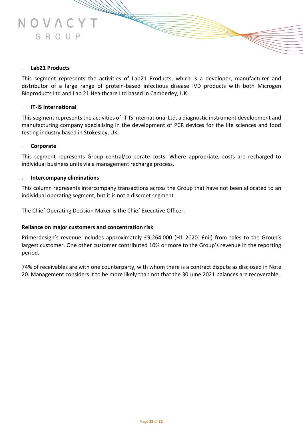#### <sup>o</sup> **Lab21 Products**

NOVAC

GROUP

This segment represents the activities of Lab21 Products, which is a developer, manufacturer and distributor of a large range of protein-based infectious disease IVD products with both Microgen Bioproducts Ltd and Lab 21 Healthcare Ltd based in Camberley, UK.

#### **IT-IS International**

This segment represents the activities of IT-IS International Ltd, a diagnostic instrument development and manufacturing company specialising in the development of PCR devices for the life sciences and food testing industry based in Stokesley, UK.

#### <sup>o</sup> **Corporate**

This segment represents Group central/corporate costs. Where appropriate, costs are recharged to individual business units via a management recharge process.

#### <sup>o</sup> **Intercompany eliminations**

This column represents intercompany transactions across the Group that have not been allocated to an individual operating segment, but it is not a discreet segment.

The Chief Operating Decision Maker is the Chief Executive Officer.

#### **Reliance on major customers and concentration risk**

Primerdesign's revenue includes approximately £9,264,000 (H1 2020: £nil) from sales to the Group's largest customer. One other customer contributed 10% or more to the Group's revenue in the reporting period.

74% of receivables are with one counterparty, with whom there is a contract dispute as disclosed in Note 20. Management considers it to be more likely than not that the 30 June 2021 balances are recoverable.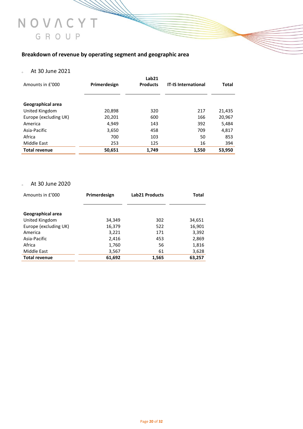# **Breakdown of revenue by operating segment and geographic area**

#### <sup>o</sup> At 30 June 2021

| Amounts in £'000      | Primerdesign | Lab <sub>21</sub><br><b>Products</b> | <b>IT-IS International</b> | Total  |
|-----------------------|--------------|--------------------------------------|----------------------------|--------|
| Geographical area     |              |                                      |                            |        |
| United Kingdom        | 20,898       | 320                                  | 217                        | 21,435 |
| Europe (excluding UK) | 20,201       | 600                                  | 166                        | 20,967 |
| America               | 4,949        | 143                                  | 392                        | 5,484  |
| Asia-Pacific          | 3,650        | 458                                  | 709                        | 4,817  |
| Africa                | 700          | 103                                  | 50                         | 853    |
| Middle East           | 253          | 125                                  | 16                         | 394    |
| <b>Total revenue</b>  | 50,651       | 1,749                                | 1,550                      | 53,950 |

#### <sup>o</sup> At 30 June 2020

| Amounts in £'000      | Primerdesign | <b>Lab21 Products</b> | <b>Total</b> |
|-----------------------|--------------|-----------------------|--------------|
|                       |              |                       |              |
| Geographical area     |              |                       |              |
| United Kingdom        | 34,349       | 302                   | 34,651       |
| Europe (excluding UK) | 16,379       | 522                   | 16,901       |
| America               | 3,221        | 171                   | 3,392        |
| Asia-Pacific          | 2,416        | 453                   | 2,869        |
| Africa                | 1,760        | 56                    | 1,816        |
| Middle East           | 3,567        | 61                    | 3,628        |
| <b>Total revenue</b>  | 61,692       | 1,565                 | 63,257       |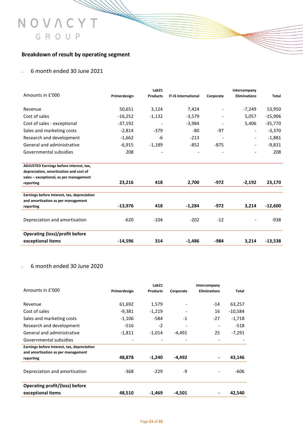# **Breakdown of result by operating segment**

### <sup>o</sup> 6 month ended 30 June 2021

|                                             |              | Lab21           |                            |           | Intercompany             |              |
|---------------------------------------------|--------------|-----------------|----------------------------|-----------|--------------------------|--------------|
| Amounts in £'000                            | Primerdesign | <b>Products</b> | <b>IT-IS International</b> | Corporate | <b>Eliminations</b>      | <b>Total</b> |
|                                             |              |                 |                            |           |                          |              |
| Revenue                                     | 50,651       | 3,124           | 7,424                      |           | $-7,249$                 | 53,950       |
| Cost of sales                               | $-16,252$    | $-1,132$        | $-3,579$                   |           | 5,057                    | $-15,906$    |
| Cost of sales - exceptional                 | $-37,192$    |                 | $-3,984$                   |           | 5,406                    | $-35,770$    |
| Sales and marketing costs                   | $-2,814$     | $-379$          | -80                        | $-97$     | $\overline{\phantom{a}}$ | $-3,370$     |
| Research and development                    | $-1,662$     | -6              | $-213$                     |           | $\overline{\phantom{a}}$ | $-1,881$     |
| General and administrative                  | $-6,915$     | $-1,189$        | $-852$                     | $-875$    |                          | $-9,831$     |
| Governmental subsidies                      | 208          |                 |                            |           |                          | 208          |
|                                             |              |                 |                            |           |                          |              |
| ADJUSTED Earnings before interest, tax,     |              |                 |                            |           |                          |              |
| depreciation, amortisation and cost of      |              |                 |                            |           |                          |              |
| sales - exceptional, as per management      |              |                 |                            |           |                          |              |
| reporting                                   | 23,216       | 418             | 2,700                      | $-972$    | $-2,192$                 | 23,170       |
| Earnings before interest, tax, depreciation |              |                 |                            |           |                          |              |
| and amortisation as per management          |              |                 |                            |           |                          |              |
| reporting                                   | $-13,976$    | 418             | $-1,284$                   | $-972$    | 3,214                    | $-12,600$    |
|                                             |              |                 |                            |           |                          |              |
| Depreciation and amortisation               | $-620$       | $-104$          | $-202$                     | $-12$     |                          | $-938$       |
|                                             |              |                 |                            |           |                          |              |
| <b>Operating (loss)/profit before</b>       |              |                 |                            |           |                          |              |
| exceptional items                           | $-14,596$    | 314             | $-1,486$                   | -984      | 3,214                    | $-13,538$    |
|                                             |              |                 |                            |           |                          |              |

#### <sup>o</sup> 6 month ended 30 June 2020

| Amounts in £'000                                | Primerdesign | Lab <sub>21</sub><br><b>Products</b> | Corporate | Intercompany<br><b>Eliminations</b> | Total     |
|-------------------------------------------------|--------------|--------------------------------------|-----------|-------------------------------------|-----------|
| Revenue                                         | 61,692       | 1,579                                |           | $-14$                               | 63,257    |
| Cost of sales                                   | -9,381       | $-1,219$                             |           | 16                                  | $-10,584$ |
| Sales and marketing costs                       | $-1,106$     | $-584$                               | $-1$      | $-27$                               | $-1,718$  |
| Research and development                        | $-516$       | $-2$                                 |           |                                     | -518      |
| General and administrative                      | $-1,811$     | $-1,014$                             | -4,491    | 25                                  | $-7,291$  |
| Governmental subsidies                          |              |                                      |           |                                     |           |
| Earnings before interest, tax, depreciation     |              |                                      |           |                                     |           |
| and amortisation as per management<br>reporting | 48,878       | $-1,240$                             | -4,492    | $\qquad \qquad \blacksquare$        | 43,146    |
| Depreciation and amortisation                   | $-368$       | $-229$                               | -9        |                                     | -606      |
| Operating profit/(loss) before                  |              |                                      |           |                                     |           |
| exceptional items                               | 48,510       | -1,469                               | $-4,501$  |                                     | 42,540    |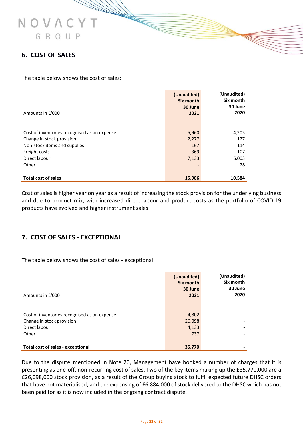### **6. COST OF SALES**

The table below shows the cost of sales:

|                                              | (Unaudited)<br><b>Six month</b> | (Unaudited)<br>Six month<br>30 June |
|----------------------------------------------|---------------------------------|-------------------------------------|
| Amounts in £'000                             | 30 June<br>2021                 | 2020                                |
|                                              |                                 |                                     |
| Cost of inventories recognised as an expense | 5,960                           | 4,205                               |
| Change in stock provision                    | 2,277                           | 127                                 |
| Non-stock items and supplies                 | 167                             | 114                                 |
| Freight costs                                | 369                             | 107                                 |
| Direct labour                                | 7,133                           | 6,003                               |
| Other                                        |                                 | 28                                  |
|                                              |                                 |                                     |
| <b>Total cost of sales</b>                   | 15,906                          | 10,584                              |

Cost of sales is higher year on year as a result of increasing the stock provision for the underlying business and due to product mix, with increased direct labour and product costs as the portfolio of COVID-19 products have evolved and higher instrument sales.

### **7. COST OF SALES - EXCEPTIONAL**

The table below shows the cost of sales - exceptional:

| Amounts in £'000                             | (Unaudited)<br>Six month<br>30 June<br>2021 | (Unaudited)<br>Six month<br>30 June<br>2020 |
|----------------------------------------------|---------------------------------------------|---------------------------------------------|
|                                              |                                             |                                             |
| Cost of inventories recognised as an expense | 4,802                                       |                                             |
| Change in stock provision                    | 26,098                                      |                                             |
| Direct labour                                | 4,133                                       |                                             |
| Other                                        | 737                                         |                                             |
|                                              |                                             |                                             |
| <b>Total cost of sales - exceptional</b>     | 35,770                                      |                                             |

Due to the dispute mentioned in Note 20, Management have booked a number of charges that it is presenting as one-off, non-recurring cost of sales. Two of the key items making up the £35,770,000 are a £26,098,000 stock provision, as a result of the Group buying stock to fulfil expected future DHSC orders that have not materialised, and the expensing of £6,884,000 of stock delivered to the DHSC which has not been paid for as it is now included in the ongoing contract dispute.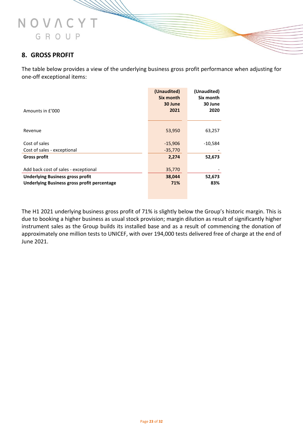### **8. GROSS PROFIT**

The table below provides a view of the underlying business gross profit performance when adjusting for one-off exceptional items:

| (Unaudited)<br>Six month | (Unaudited)<br>Six month |
|--------------------------|--------------------------|
| 2021                     | 30 June<br>2020          |
| 53,950                   | 63,257                   |
| $-15,906$                | $-10,584$                |
| 2,274                    | 52,673                   |
| 35,770                   |                          |
| 38,044                   | 52,673                   |
| 71%                      | 83%                      |
|                          | 30 June<br>$-35,770$     |

The H1 2021 underlying business gross profit of 71% is slightly below the Group's historic margin. This is due to booking a higher business as usual stock provision; margin dilution as result of significantly higher instrument sales as the Group builds its installed base and as a result of commencing the donation of approximately one million tests to UNICEF, with over 194,000 tests delivered free of charge at the end of June 2021.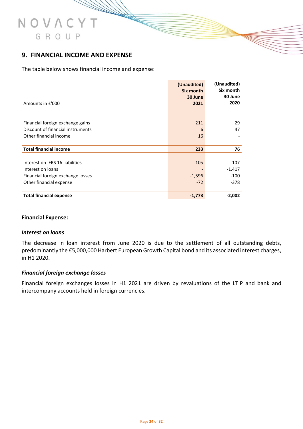### **9. FINANCIAL INCOME AND EXPENSE**

The table below shows financial income and expense:

|                                   | (Unaudited)<br>Six month<br>30 June | (Unaudited)<br>Six month<br>30 June |
|-----------------------------------|-------------------------------------|-------------------------------------|
| Amounts in £'000                  | 2021                                | 2020                                |
| Financial foreign exchange gains  | 211                                 | 29                                  |
| Discount of financial instruments | 6                                   | 47                                  |
| Other financial income            | 16                                  |                                     |
| <b>Total financial income</b>     | 233                                 | 76                                  |
|                                   |                                     |                                     |
| Interest on IFRS 16 liabilities   | $-105$                              | $-107$                              |
| Interest on loans                 |                                     | $-1,417$                            |
| Financial foreign exchange losses | $-1,596$                            | $-100$                              |
| Other financial expense           | $-72$                               | $-378$                              |
| <b>Total financial expense</b>    | $-1,773$                            | $-2,002$                            |

#### **Financial Expense:**

#### *Interest on loans*

The decrease in loan interest from June 2020 is due to the settlement of all outstanding debts, predominantly the €5,000,000 Harbert European Growth Capital bond and its associated interest charges, in H1 2020.

#### *Financial foreign exchange losses*

Financial foreign exchanges losses in H1 2021 are driven by revaluations of the LTIP and bank and intercompany accounts held in foreign currencies.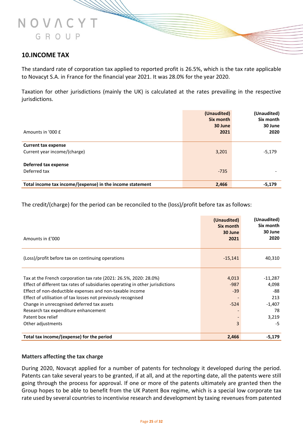## **10.INCOME TAX**

NOVACYT

GROUP

The standard rate of corporation tax applied to reported profit is 26.5%, which is the tax rate applicable to Novacyt S.A. in France for the financial year 2021. It was 28.0% for the year 2020.

Taxation for other jurisdictions (mainly the UK) is calculated at the rates prevailing in the respective jurisdictions.

| Amounts in '000 £                                          | (Unaudited)<br>Six month<br>30 June<br>2021 | (Unaudited)<br>Six month<br>30 June<br>2020 |
|------------------------------------------------------------|---------------------------------------------|---------------------------------------------|
| <b>Current tax expense</b><br>Current year income/(charge) | 3,201                                       | $-5,179$                                    |
| Deferred tax expense<br>Deferred tax                       | $-735$                                      |                                             |
| Total income tax income/(expense) in the income statement  | 2,466                                       | $-5,179$                                    |

The credit/(charge) for the period can be reconciled to the (loss)/profit before tax as follows:

|                                                                                | (Unaudited)<br>Six month<br>30 June | (Unaudited)<br>Six month<br>30 June |
|--------------------------------------------------------------------------------|-------------------------------------|-------------------------------------|
| Amounts in £'000                                                               | 2021                                | 2020                                |
| (Loss)/profit before tax on continuing operations                              | $-15,141$                           | 40,310                              |
| Tax at the French corporation tax rate (2021: 26.5%, 2020: 28.0%)              | 4,013                               | $-11,287$                           |
| Effect of different tax rates of subsidiaries operating in other jurisdictions | $-987$                              | 4,098                               |
| Effect of non-deductible expenses and non-taxable income                       | $-39$                               | -88                                 |
| Effect of utilisation of tax losses not previously recognised                  |                                     | 213                                 |
| Change in unrecognised deferred tax assets                                     | $-524$                              | $-1,407$                            |
| Research tax expenditure enhancement                                           |                                     | 78                                  |
| Patent box relief                                                              |                                     | 3,219                               |
| Other adjustments                                                              | 3                                   | -5                                  |
| Total tax income/(expense) for the period                                      | 2,466                               | -5,179                              |

#### **Matters affecting the tax charge**

During 2020, Novacyt applied for a number of patents for technology it developed during the period. Patents can take several years to be granted, if at all, and at the reporting date, all the patents were still going through the process for approval. If one or more of the patents ultimately are granted then the Group hopes to be able to benefit from the UK Patent Box regime, which is a special low corporate tax rate used by several countries to incentivise research and development by taxing revenues from patented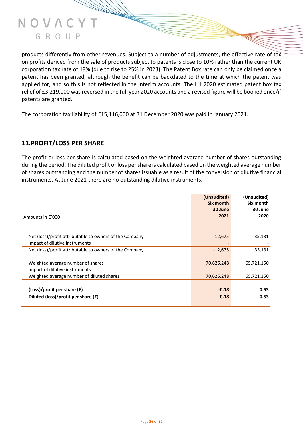

products differently from other revenues. Subject to a number of adjustments, the effective rate of tax on profits derived from the sale of products subject to patents is close to 10% rather than the current UK corporation tax rate of 19% (due to rise to 25% in 2023). The Patent Box rate can only be claimed once a patent has been granted, although the benefit can be backdated to the time at which the patent was applied for, and so this is not reflected in the interim accounts. The H1 2020 estimated patent box tax relief of £3,219,000 was reversed in the full year 2020 accounts and a revised figure will be booked once/if patents are granted.

The corporation tax liability of £15,116,000 at 31 December 2020 was paid in January 2021.

### **11.PROFIT/LOSS PER SHARE**

The profit or loss per share is calculated based on the weighted average number of shares outstanding during the period. The diluted profit or loss per share is calculated based on the weighted average number of shares outstanding and the number of shares issuable as a result of the conversion of dilutive financial instruments. At June 2021 there are no outstanding dilutive instruments.

| Amounts in £'000                                        | (Unaudited)<br>Six month<br>30 June<br>2021 | (Unaudited)<br>Six month<br>30 June<br>2020 |
|---------------------------------------------------------|---------------------------------------------|---------------------------------------------|
| Net (loss)/profit attributable to owners of the Company | $-12,675$                                   | 35,131                                      |
| Impact of dilutive instruments                          |                                             |                                             |
| Net (loss)/profit attributable to owners of the Company | $-12,675$                                   | 35,131                                      |
|                                                         |                                             |                                             |
| Weighted average number of shares                       | 70,626,248                                  | 65,721,150                                  |
| Impact of dilutive instruments                          |                                             |                                             |
| Weighted average number of diluted shares               | 70,626,248                                  | 65,721,150                                  |
|                                                         |                                             |                                             |
| (Loss)/profit per share (£)                             | $-0.18$                                     | 0.53                                        |
| Diluted (loss)/profit per share (£)                     | $-0.18$                                     | 0.53                                        |
|                                                         |                                             |                                             |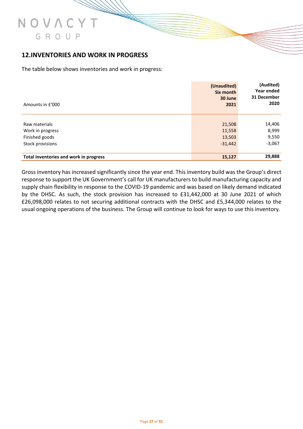## **12.INVENTORIES AND WORK IN PROGRESS**

The table below shows inventories and work in progress:

| Amounts in £'000                       | (Unaudited)<br>Six month<br>30 June<br>2021 | (Audited)<br>Year ended<br>31 December<br>2020 |
|----------------------------------------|---------------------------------------------|------------------------------------------------|
|                                        |                                             |                                                |
| Raw materials                          | 21,508                                      | 14,406                                         |
| Work in progress                       | 11,558                                      | 8,999                                          |
| Finished goods                         | 13,503                                      | 9,550                                          |
| Stock provisions                       | $-31,442$                                   | $-3,067$                                       |
|                                        |                                             |                                                |
| Total inventories and work in progress | 15,127                                      | 29,888                                         |

Gross inventory has increased significantly since the year end. This inventory build was the Group's direct response to support the UK Government's call for UK manufacturers to build manufacturing capacity and supply chain flexibility in response to the COVID-19 pandemic and was based on likely demand indicated by the DHSC. As such, the stock provision has increased to £31,442,000 at 30 June 2021 of which £26,098,000 relates to not securing additional contracts with the DHSC and £5,344,000 relates to the usual ongoing operations of the business. The Group will continue to look for ways to use this inventory.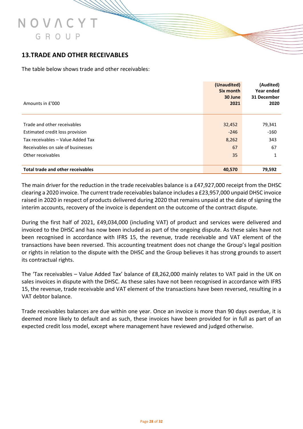## **13.TRADE AND OTHER RECEIVABLES**

The table below shows trade and other receivables:

|                                          | (Unaudited)<br>Six month | (Audited)<br>Year ended |
|------------------------------------------|--------------------------|-------------------------|
| Amounts in £'000                         | 30 June<br>2021          | 31 December<br>2020     |
|                                          |                          |                         |
| Trade and other receivables              | 32,452                   | 79,341                  |
| Estimated credit loss provision          | $-246$                   | $-160$                  |
| Tax receivables - Value Added Tax        | 8,262                    | 343                     |
| Receivables on sale of businesses        | 67                       | 67                      |
| Other receivables                        | 35                       | 1                       |
|                                          |                          |                         |
| <b>Total trade and other receivables</b> | 40,570                   | 79,592                  |

The main driver for the reduction in the trade receivables balance is a £47,927,000 receipt from the DHSC clearing a 2020 invoice. The current trade receivables balance includes a £23,957,000 unpaid DHSC invoice raised in 2020 in respect of products delivered during 2020 that remains unpaid at the date of signing the interim accounts, recovery of the invoice is dependent on the outcome of the contract dispute.

During the first half of 2021, £49,034,000 (including VAT) of product and services were delivered and invoiced to the DHSC and has now been included as part of the ongoing dispute. As these sales have not been recognised in accordance with IFRS 15, the revenue, trade receivable and VAT element of the transactions have been reversed. This accounting treatment does not change the Group's legal position or rights in relation to the dispute with the DHSC and the Group believes it has strong grounds to assert its contractual rights.

The 'Tax receivables – Value Added Tax' balance of £8,262,000 mainly relates to VAT paid in the UK on sales invoices in dispute with the DHSC. As these sales have not been recognised in accordance with IFRS 15, the revenue, trade receivable and VAT element of the transactions have been reversed, resulting in a VAT debtor balance.

Trade receivables balances are due within one year. Once an invoice is more than 90 days overdue, it is deemed more likely to default and as such, these invoices have been provided for in full as part of an expected credit loss model, except where management have reviewed and judged otherwise.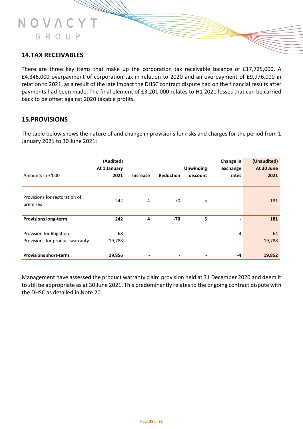# GROUP

NOVACYT

# **14.TAX RECEIVABLES**

There are three key items that make up the corporation tax receivable balance of £17,725,000. A £4,346,000 overpayment of corporation tax in relation to 2020 and an overpayment of £9,976,000 in relation to 2021, as a result of the late impact the DHSC contract dispute had on the financial results after payments had been made. The final element of £3,201,000 relates to H1 2021 losses that can be carried back to be offset against 2020 taxable profits.

### **15.PROVISIONS**

The table below shows the nature of and change in provisions for risks and charges for the period from 1 January 2021 to 30 June 2021:

| Amounts in £'000                                            | (Audited)<br>At 1 January<br>2021 | Increase                 | <b>Reduction</b>              | <b>Unwinding</b><br>discount                         | Change in<br>exchange<br>rates   | (Unaudited)<br>At 30 June<br>2021 |
|-------------------------------------------------------------|-----------------------------------|--------------------------|-------------------------------|------------------------------------------------------|----------------------------------|-----------------------------------|
| Provisions for restoration of<br>premises                   | 242                               | 4                        | $-70$                         | 5                                                    | $\overline{\phantom{a}}$         | 181                               |
| <b>Provisions long-term</b>                                 | 242                               | 4                        | -70                           | 5                                                    |                                  | 181                               |
| Provision for litigation<br>Provisions for product warranty | 68<br>19,788                      | $\overline{\phantom{0}}$ | $\overline{\phantom{a}}$<br>- | $\overline{\phantom{a}}$<br>$\overline{\phantom{a}}$ | $-4$<br>$\overline{\phantom{a}}$ | 64<br>19,788                      |
| <b>Provisions short-term</b>                                | 19,856                            | $\blacksquare$           | ۰                             | $\blacksquare$                                       | -4                               | 19,852                            |

Management have assessed the product warranty claim provision held at 31 December 2020 and deem it to still be appropriate as at 30 June 2021. This predominantly relates to the ongoing contract dispute with the DHSC as detailed in Note 20.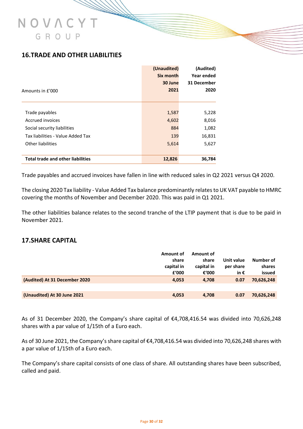### **16.TRADE AND OTHER LIABILITIES**

|                                          | (Unaudited) | (Audited)   |
|------------------------------------------|-------------|-------------|
|                                          | Six month   | Year ended  |
|                                          | 30 June     | 31 December |
| Amounts in £'000                         | 2021        | 2020        |
|                                          |             |             |
|                                          |             |             |
| Trade payables                           | 1,587       | 5,228       |
| Accrued invoices                         | 4,602       | 8,016       |
| Social security liabilities              | 884         | 1,082       |
| Tax liabilities - Value Added Tax        | 139         | 16,831      |
| Other liabilities                        | 5,614       | 5,627       |
|                                          |             |             |
| <b>Total trade and other liabilities</b> | 12,826      | 36,784      |

Trade payables and accrued invoices have fallen in line with reduced sales in Q2 2021 versus Q4 2020.

The closing 2020 Tax liability - Value Added Tax balance predominantly relates to UK VAT payable to HMRC covering the months of November and December 2020. This was paid in Q1 2021.

The other liabilities balance relates to the second tranche of the LTIP payment that is due to be paid in November 2021.

### **17.SHARE CAPITAL**

| (Audited) At 31 December 2020 | Amount of<br>share<br>capital in<br>£'000<br>4,053 | Amount of<br>share<br>capital in<br>€'000<br>4,708 | Unit value<br>per share<br>in €<br>0.07 | Number of<br>shares<br>issued<br>70,626,248 |
|-------------------------------|----------------------------------------------------|----------------------------------------------------|-----------------------------------------|---------------------------------------------|
|                               |                                                    |                                                    |                                         |                                             |
| (Unaudited) At 30 June 2021   | 4,053                                              | 4,708                                              | 0.07                                    | 70,626,248                                  |

As of 31 December 2020, the Company's share capital of €4,708,416.54 was divided into 70,626,248 shares with a par value of 1/15th of a Euro each.

As of 30 June 2021, the Company's share capital of €4,708,416.54 was divided into 70,626,248 shares with a par value of 1/15th of a Euro each.

The Company's share capital consists of one class of share. All outstanding shares have been subscribed, called and paid.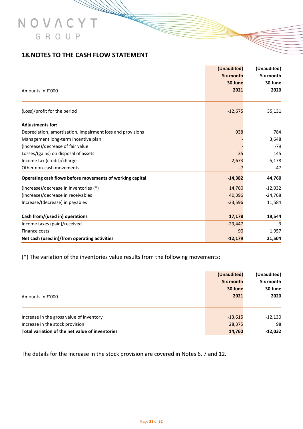## **18.NOTES TO THE CASH FLOW STATEMENT**

|                                                            | (Unaudited)      | (Unaudited) |
|------------------------------------------------------------|------------------|-------------|
|                                                            | <b>Six month</b> | Six month   |
|                                                            | 30 June          | 30 June     |
| Amounts in £'000                                           | 2021             | 2020        |
| (Loss)/profit for the period                               | $-12,675$        | 35,131      |
| <b>Adjustments for:</b>                                    |                  |             |
| Depreciation, amortisation, impairment loss and provisions | 938              | 784         |
| Management long-term incentive plan                        |                  | 3,648       |
| (Increase)/decrease of fair value                          |                  | $-79$       |
| Losses/(gains) on disposal of assets                       | 35               | 145         |
| Income tax (credit)/charge                                 | $-2,673$         | 5,178       |
| Other non-cash movements                                   | $-7$             | -47         |
| Operating cash flows before movements of working capital   | $-14,382$        | 44,760      |
| (Increase)/decrease in inventories (*)                     | 14,760           | $-12,032$   |
| (Increase)/decrease in receivables                         | 40,396           | $-24,768$   |
| Increase/(decrease) in payables                            | $-23,596$        | 11,584      |
| Cash from/(used in) operations                             | 17,178           | 19,544      |
| Income taxes (paid)/received                               | $-29,447$        | 3           |
| <b>Finance costs</b>                                       | 90               | 1,957       |
| Net cash (used in)/from operating activities               | $-12,179$        | 21,504      |

(\*) The variation of the inventories value results from the following movements:

|                                                 | (Unaudited) | (Unaudited) |
|-------------------------------------------------|-------------|-------------|
|                                                 | Six month   | Six month   |
|                                                 | 30 June     | 30 June     |
| Amounts in £'000                                | 2021        | 2020        |
|                                                 |             |             |
|                                                 |             |             |
| Increase in the gross value of inventory        | $-13,615$   | $-12,130$   |
| Increase in the stock provision                 | 28,375      | 98          |
| Total variation of the net value of inventories | 14,760      | $-12,032$   |

The details for the increase in the stock provision are covered in Notes 6, 7 and 12.